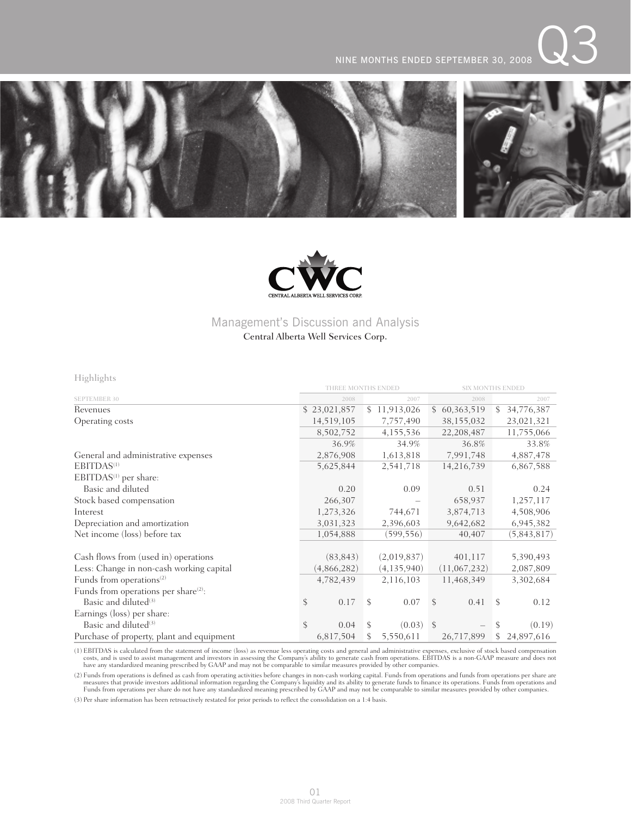



## Management's Discussion and Analysis

### Central Alberta Well Services Corp.

Highlights

|                                                  | THREE MONTHS ENDED |               | <b>SIX MONTHS ENDED</b> |    |              |               |              |
|--------------------------------------------------|--------------------|---------------|-------------------------|----|--------------|---------------|--------------|
| <b>SEPTEMBER 30</b>                              | 2008               |               | 2007                    |    | 2008         |               | 2007         |
| Revenues                                         | \$23,021,857       |               | \$11,913,026            |    | \$60,363,519 | S.            | 34,776,387   |
| Operating costs                                  | 14,519,105         |               | 7,757,490               |    | 38,155,032   |               | 23,021,321   |
|                                                  | 8,502,752          |               | 4,155,536               |    | 22,208,487   |               | 11,755,066   |
|                                                  | 36.9%              |               | 34.9%                   |    | 36.8%        |               | 33.8%        |
| General and administrative expenses              | 2,876,908          |               | 1,613,818               |    | 7,991,748    |               | 4,887,478    |
| EBITDAS <sup>(1)</sup>                           | 5,625,844          |               | 2,541,718               |    | 14,216,739   |               | 6,867,588    |
| EBITDAS <sup>(1)</sup> per share:                |                    |               |                         |    |              |               |              |
| Basic and diluted                                | 0.20               |               | 0.09                    |    | 0.51         |               | 0.24         |
| Stock based compensation                         | 266,307            |               |                         |    | 658,937      |               | 1,257,117    |
| Interest                                         | 1,273,326          |               | 744,671                 |    | 3,874,713    |               | 4,508,906    |
| Depreciation and amortization                    | 3,031,323          |               | 2,396,603               |    | 9,642,682    |               | 6,945,382    |
| Net income (loss) before tax                     | 1,054,888          |               | (599, 556)              |    | 40,407       |               | (5,843,817)  |
| Cash flows from (used in) operations             | (83, 843)          |               | (2,019,837)             |    | 401,117      |               | 5,390,493    |
| Less: Change in non-cash working capital         | (4,866,282)        |               | (4, 135, 940)           |    | (11,067,232) |               | 2,087,809    |
| Funds from operations <sup>(2)</sup>             | 4,782,439          |               | 2,116,103               |    | 11,468,349   |               | 3,302,684    |
| Funds from operations per share <sup>(2)</sup> : |                    |               |                         |    |              |               |              |
| Basic and diluted <sup>(3)</sup>                 | \$<br>0.17         | $\mathcal{S}$ | 0.07                    | \$ | 0.41         | <sup>S</sup>  | 0.12         |
| Earnings (loss) per share:                       |                    |               |                         |    |              |               |              |
| Basic and diluted <sup>(3)</sup>                 | \$<br>0.04         | S.            | $(0.03)$ \$             |    |              | <sup>\$</sup> | (0.19)       |
| Purchase of property, plant and equipment        | 6,817,504          | S.            | 5,550,611               |    | 26,717,899   |               | \$24,897,616 |

(1) EBITDAS is calculated from the statement of income (loss) as revenue less operating costs and general and administrative expenses, exclusive of stock based compensation costs, and is used to assist management and inves

(2) Funds from operations is defined as cash from operating activities before changes in non-cash working capital. Funds from operations and funds from operations per share are are are all the Company's liquidity and its a

(3) Per share information has been retroactively restated for prior periods to reflect the consolidation on a 1:4 basis.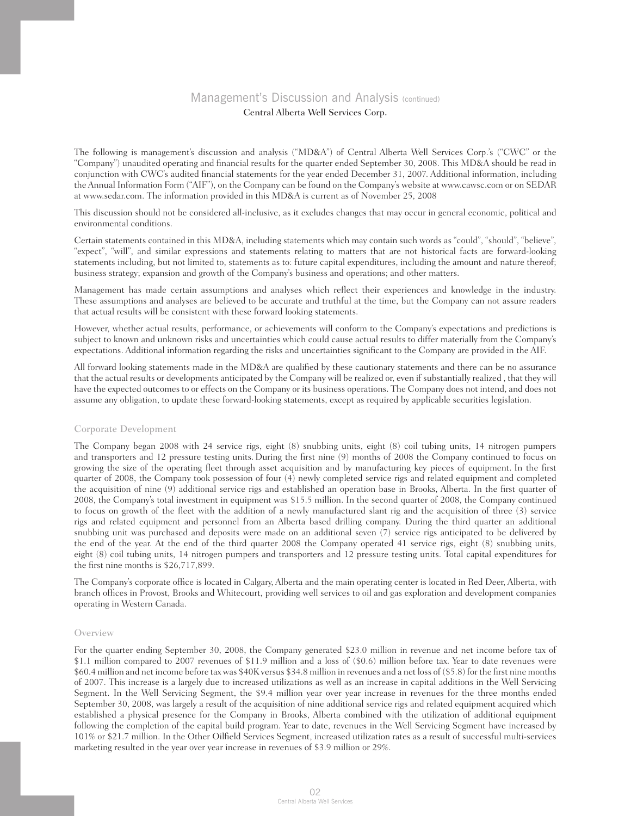The following is management's discussion and analysis ("MD&A") of Central Alberta Well Services Corp.'s ("CWC" or the "Company") unaudited operating and financial results for the quarter ended September 30, 2008. This MD&A should be read in conjunction with CWC's audited financial statements for the year ended December 31, 2007. Additional information, including the Annual Information Form ("AIF"), on the Company can be found on the Company's website at www.cawsc.com or on SEDAR at www.sedar.com. The information provided in this MD&A is current as of November 25, 2008

This discussion should not be considered all-inclusive, as it excludes changes that may occur in general economic, political and environmental conditions.

Certain statements contained in this MD&A, including statements which may contain such words as "could", "should", "believe", "expect", "will", and similar expressions and statements relating to matters that are not historical facts are forward-looking statements including, but not limited to, statements as to: future capital expenditures, including the amount and nature thereof; business strategy; expansion and growth of the Company's business and operations; and other matters.

Management has made certain assumptions and analyses which reflect their experiences and knowledge in the industry. These assumptions and analyses are believed to be accurate and truthful at the time, but the Company can not assure readers that actual results will be consistent with these forward looking statements.

However, whether actual results, performance, or achievements will conform to the Company's expectations and predictions is subject to known and unknown risks and uncertainties which could cause actual results to differ materially from the Company's expectations. Additional information regarding the risks and uncertainties significant to the Company are provided in the AIF.

All forward looking statements made in the MD&A are qualified by these cautionary statements and there can be no assurance that the actual results or developments anticipated by the Company will be realized or, even if substantially realized , that they will have the expected outcomes to or effects on the Company or its business operations. The Company does not intend, and does not assume any obligation, to update these forward-looking statements, except as required by applicable securities legislation.

### Corporate Development

The Company began 2008 with 24 service rigs, eight (8) snubbing units, eight (8) coil tubing units, 14 nitrogen pumpers and transporters and 12 pressure testing units. During the first nine (9) months of 2008 the Company continued to focus on growing the size of the operating fleet through asset acquisition and by manufacturing key pieces of equipment. In the first quarter of 2008, the Company took possession of four (4) newly completed service rigs and related equipment and completed the acquisition of nine (9) additional service rigs and established an operation base in Brooks, Alberta. In the first quarter of 2008, the Company's total investment in equipment was \$15.5 million. In the second quarter of 2008, the Company continued to focus on growth of the fleet with the addition of a newly manufactured slant rig and the acquisition of three (3) service rigs and related equipment and personnel from an Alberta based drilling company. During the third quarter an additional snubbing unit was purchased and deposits were made on an additional seven (7) service rigs anticipated to be delivered by the end of the year. At the end of the third quarter 2008 the Company operated 41 service rigs, eight (8) snubbing units, eight (8) coil tubing units, 14 nitrogen pumpers and transporters and 12 pressure testing units. Total capital expenditures for the first nine months is \$26,717,899.

The Company's corporate office is located in Calgary, Alberta and the main operating center is located in Red Deer, Alberta, with branch offices in Provost, Brooks and Whitecourt, providing well services to oil and gas exploration and development companies operating in Western Canada.

### Overview

For the quarter ending September 30, 2008, the Company generated \$23.0 million in revenue and net income before tax of \$1.1 million compared to 2007 revenues of \$11.9 million and a loss of (\$0.6) million before tax. Year to date revenues were \$60.4 million and net income before tax was \$40K versus \$34.8 million in revenues and a net loss of (\$5.8) for the first nine months of 2007. This increase is a largely due to increased utilizations as well as an increase in capital additions in the Well Servicing Segment. In the Well Servicing Segment, the \$9.4 million year over year increase in revenues for the three months ended September 30, 2008, was largely a result of the acquisition of nine additional service rigs and related equipment acquired which established a physical presence for the Company in Brooks, Alberta combined with the utilization of additional equipment following the completion of the capital build program. Year to date, revenues in the Well Servicing Segment have increased by 101% or \$21.7 million. In the Other Oilfield Services Segment, increased utilization rates as a result of successful multi-services marketing resulted in the year over year increase in revenues of \$3.9 million or 29%.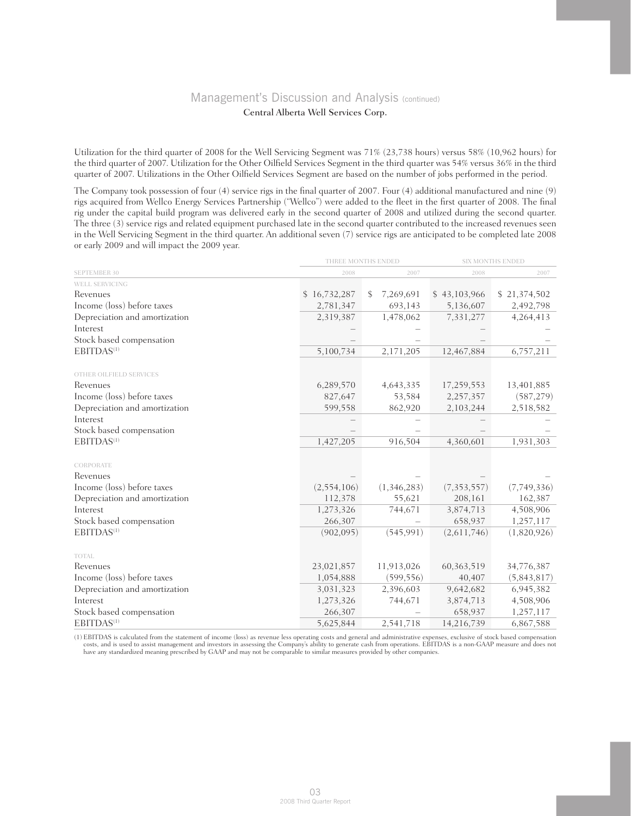Utilization for the third quarter of 2008 for the Well Servicing Segment was 71% (23,738 hours) versus 58% (10,962 hours) for the third quarter of 2007. Utilization for the Other Oilfield Services Segment in the third quarter was 54% versus 36% in the third quarter of 2007. Utilizations in the Other Oilfield Services Segment are based on the number of jobs performed in the period.

The Company took possession of four (4) service rigs in the final quarter of 2007. Four (4) additional manufactured and nine (9) rigs acquired from Wellco Energy Services Partnership ("Wellco") were added to the fleet in the first quarter of 2008. The final rig under the capital build program was delivered early in the second quarter of 2008 and utilized during the second quarter. The three (3) service rigs and related equipment purchased late in the second quarter contributed to the increased revenues seen in the Well Servicing Segment in the third quarter. An additional seven (7) service rigs are anticipated to be completed late 2008 or early 2009 and will impact the 2009 year.

|                               | THREE MONTHS ENDED | <b>SIX MONTHS ENDED</b> |               |              |  |
|-------------------------------|--------------------|-------------------------|---------------|--------------|--|
| <b>SEPTEMBER 30</b>           | 2008               | 2007                    | 2008          | 2007         |  |
| WELL SERVICING                |                    |                         |               |              |  |
| Revenues                      | \$16,732,287       | 7,269,691<br>\$         | \$43,103,966  | \$21,374,502 |  |
| Income (loss) before taxes    | 2,781,347          | 693,143                 | 5,136,607     | 2,492,798    |  |
| Depreciation and amortization | 2,319,387          | 1,478,062               | 7,331,277     | 4,264,413    |  |
| Interest                      |                    |                         |               |              |  |
| Stock based compensation      |                    |                         |               |              |  |
| EBITDAS <sup>(1)</sup>        | 5,100,734          | 2,171,205               | 12,467,884    | 6,757,211    |  |
| OTHER OILFIELD SERVICES       |                    |                         |               |              |  |
| Revenues                      | 6,289,570          | 4,643,335               | 17,259,553    | 13,401,885   |  |
| Income (loss) before taxes    | 827,647            | 53,584                  | 2,257,357     | (587, 279)   |  |
| Depreciation and amortization | 599,558            | 862,920                 | 2,103,244     | 2,518,582    |  |
| Interest                      |                    |                         |               |              |  |
| Stock based compensation      |                    |                         |               |              |  |
| EBITDAS <sup>(1)</sup>        | 1,427,205          | 916,504                 | 4,360,601     | 1,931,303    |  |
| CORPORATE                     |                    |                         |               |              |  |
| Revenues                      |                    |                         |               |              |  |
| Income (loss) before taxes    | (2, 554, 106)      | (1,346,283)             | (7, 353, 557) | (7,749,336)  |  |
| Depreciation and amortization | 112,378            | 55,621                  | 208,161       | 162,387      |  |
| Interest                      | 1,273,326          | 744,671                 | 3,874,713     | 4,508,906    |  |
| Stock based compensation      | 266,307            |                         | 658,937       | 1,257,117    |  |
| EBITDAS <sup>(1)</sup>        | (902, 095)         | (545, 991)              | (2,611,746)   | (1,820,926)  |  |
| <b>TOTAL</b>                  |                    |                         |               |              |  |
| Revenues                      | 23,021,857         | 11,913,026              | 60, 363, 519  | 34,776,387   |  |
| Income (loss) before taxes    | 1,054,888          | (599, 556)              | 40,407        | (5,843,817)  |  |
| Depreciation and amortization | 3,031,323          | 2,396,603               | 9,642,682     | 6,945,382    |  |
| Interest                      | 1,273,326          | 744,671                 | 3,874,713     | 4,508,906    |  |
| Stock based compensation      | 266,307            |                         | 658,937       | 1,257,117    |  |
| EBITDAS <sup>(1)</sup>        | 5,625,844          | 2,541,718               | 14,216,739    | 6,867,588    |  |

(1) EBITDAS is calculated from the statement of income (loss) as revenue less operating costs and general and administrative expenses, exclusive of stock based compensation costs, and is used to assist management and inves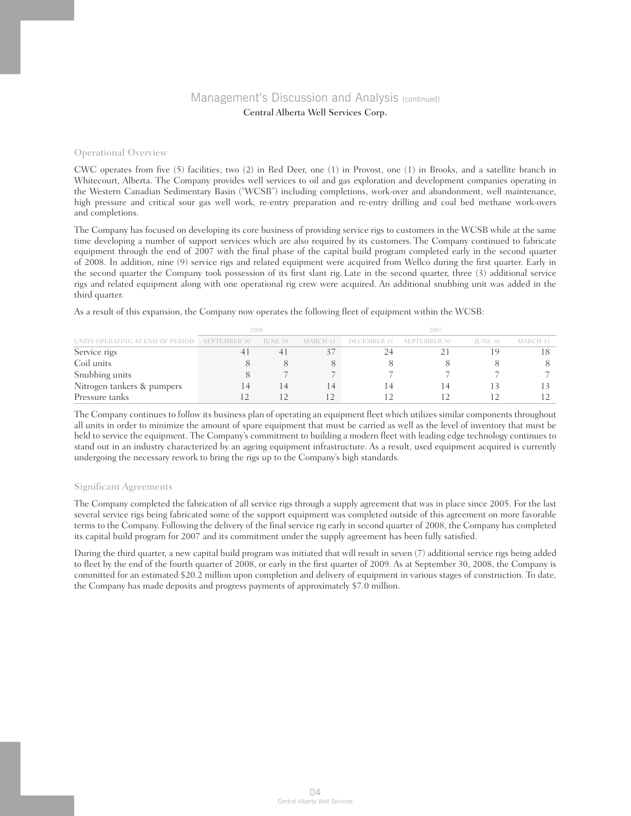#### Operational Overview

CWC operates from five (5) facilities; two (2) in Red Deer, one (1) in Provost, one (1) in Brooks, and a satellite branch in Whitecourt, Alberta. The Company provides well services to oil and gas exploration and development companies operating in the Western Canadian Sedimentary Basin ("WCSB") including completions, work-over and abandonment, well maintenance, high pressure and critical sour gas well work, re-entry preparation and re-entry drilling and coal bed methane work-overs and completions.

The Company has focused on developing its core business of providing service rigs to customers in the WCSB while at the same time developing a number of support services which are also required by its customers. The Company continued to fabricate equipment through the end of 2007 with the final phase of the capital build program completed early in the second quarter of 2008. In addition, nine (9) service rigs and related equipment were acquired from Wellco during the first quarter. Early in the second quarter the Company took possession of its first slant rig. Late in the second quarter, three (3) additional service rigs and related equipment along with one operational rig crew were acquired. An additional snubbing unit was added in the third quarter.

As a result of this expansion, the Company now operates the following fleet of equipment within the WCSB:

|                                  |                     | 2008    |                |  |                          |                |          |
|----------------------------------|---------------------|---------|----------------|--|--------------------------|----------------|----------|
| UNITS OPERATING AT END OF PERIOD | <b>SEPTEMBER 30</b> | JUNE 30 | MARCH 31       |  | DECEMBER 31 SEPTEMBER 30 | <b>IUNE 30</b> | MARCH 31 |
| Service rigs                     |                     | 41      |                |  |                          |                |          |
| Coil units                       |                     |         |                |  |                          |                |          |
| Snubbing units                   |                     |         |                |  |                          |                |          |
| Nitrogen tankers & pumpers       | 14                  | 14      | $\overline{4}$ |  |                          |                |          |
| Pressure tanks                   |                     |         |                |  |                          |                |          |

The Company continues to follow its business plan of operating an equipment fleet which utilizes similar components throughout all units in order to minimize the amount of spare equipment that must be carried as well as the level of inventory that must be held to service the equipment. The Company's commitment to building a modern fleet with leading edge technology continues to stand out in an industry characterized by an ageing equipment infrastructure. As a result, used equipment acquired is currently undergoing the necessary rework to bring the rigs up to the Company's high standards.

### Significant Agreements

The Company completed the fabrication of all service rigs through a supply agreement that was in place since 2005. For the last several service rigs being fabricated some of the support equipment was completed outside of this agreement on more favorable terms to the Company. Following the delivery of the final service rig early in second quarter of 2008, the Company has completed its capital build program for 2007 and its commitment under the supply agreement has been fully satisfied.

During the third quarter, a new capital build program was initiated that will result in seven (7) additional service rigs being added to fleet by the end of the fourth quarter of 2008, or early in the first quarter of 2009. As at September 30, 2008, the Company is committed for an estimated \$20.2 million upon completion and delivery of equipment in various stages of construction. To date, the Company has made deposits and progress payments of approximately \$7.0 million.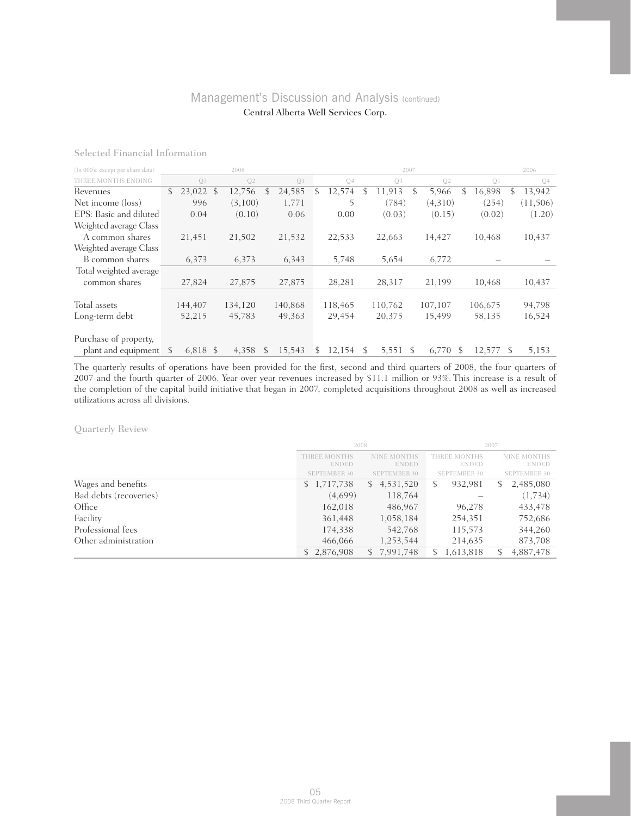| (In 000's, except per share data) |               |                | 2008    |              |         | 2007 |                |    |          |                | 2006 |                |    |                |
|-----------------------------------|---------------|----------------|---------|--------------|---------|------|----------------|----|----------|----------------|------|----------------|----|----------------|
| THREE MONTHS ENDING               |               | O <sub>3</sub> | Q2      |              | Q1      |      | Q <sub>4</sub> |    | Q3       | O <sub>2</sub> |      | O <sub>1</sub> |    | Q <sub>4</sub> |
| Revenues                          | $\mathcal{S}$ | 23,022 \$      | 12,756  | \$           | 24,585  | \$   | 12,574         | \$ | 11.913   | \$<br>5,966    | \$   | 16,898         | \$ | 13,942         |
| Net income (loss)                 |               | 996            | (3,100) |              | 1,771   |      |                |    | (784)    | (4,310)        |      | (254)          |    | (11,506)       |
| EPS: Basic and diluted            |               | 0.04           | (0.10)  |              | 0.06    |      | 0.00           |    | (0.03)   | (0.15)         |      | (0.02)         |    | (1.20)         |
| Weighted average Class            |               |                |         |              |         |      |                |    |          |                |      |                |    |                |
| A common shares                   |               | 21,451         | 21,502  |              | 21,532  |      | 22,533         |    | 22,663   | 14,427         |      | 10,468         |    | 10,437         |
| Weighted average Class            |               |                |         |              |         |      |                |    |          |                |      |                |    |                |
| B common shares                   |               | 6,373          | 6,373   |              | 6,343   |      | 5,748          |    | 5,654    | 6,772          |      |                |    |                |
| Total weighted average            |               |                |         |              |         |      |                |    |          |                |      |                |    |                |
| common shares                     |               | 27,824         | 27,875  |              | 27,875  |      | 28,281         |    | 28,317   | 21,199         |      | 10,468         |    | 10,437         |
|                                   |               |                |         |              |         |      |                |    |          |                |      |                |    |                |
| Total assets                      |               | 144,407        | 134,120 |              | 140,868 |      | 118,465        |    | 110,762  | 107,107        |      | 106,675        |    | 94,798         |
| Long-term debt                    |               | 52,215         | 45,783  |              | 49,363  |      | 29,454         |    | 20,375   | 15,499         |      | 58,135         |    | 16,524         |
|                                   |               |                |         |              |         |      |                |    |          |                |      |                |    |                |
| Purchase of property,             |               |                |         |              |         |      |                |    |          |                |      |                |    |                |
| plant and equipment               | S             | 6,818 \$       | 4,358   | <sup>S</sup> | 15.543  | S    | 12,154         | S. | 5,551 \$ | 6.770          | -S   | 12,577         | -S | 5,153          |

The quarterly results of operations have been provided for the first, second and third quarters of 2008, the four quarters of 2007 and the fourth quarter of 2006. Year over year revenues increased by \$11.1 million or 93%. This increase is a result of the completion of the capital build initiative that began in 2007, completed acquisitions throughout 2008 as well as increased utilizations across all divisions.

### Quarterly Review

|                        | 2008                         |                     | 2007                |                                    |  |  |
|------------------------|------------------------------|---------------------|---------------------|------------------------------------|--|--|
|                        | <b>ENDED</b><br><b>ENDED</b> |                     | <b>ENDED</b>        | <b>NINE MONTHS</b><br><b>ENDED</b> |  |  |
|                        | <b>SEPTEMBER 30</b>          | <b>SEPTEMBER 30</b> | <b>SEPTEMBER 30</b> | <b>SEPTEMBER 30</b>                |  |  |
| Wages and benefits     | \$1,717,738                  | \$4,531,520         | 932,981<br>S.       | 2,485,080<br>S.                    |  |  |
| Bad debts (recoveries) | (4,699)                      | 118,764             |                     | (1,734)                            |  |  |
| Office                 | 162,018                      | 486,967             | 96,278              | 433,478                            |  |  |
| Facility               | 361,448                      | 1,058,184           | 254,351             | 752,686                            |  |  |
| Professional fees      | 174,338                      | 542,768             | 115,573             | 344,260                            |  |  |
| Other administration   | 466,066                      | 1,253,544           | 214,635             | 873,708                            |  |  |
|                        | 2,876,908                    | \$7,991,748         | 1,613,818           | 4,887,478<br>\$.                   |  |  |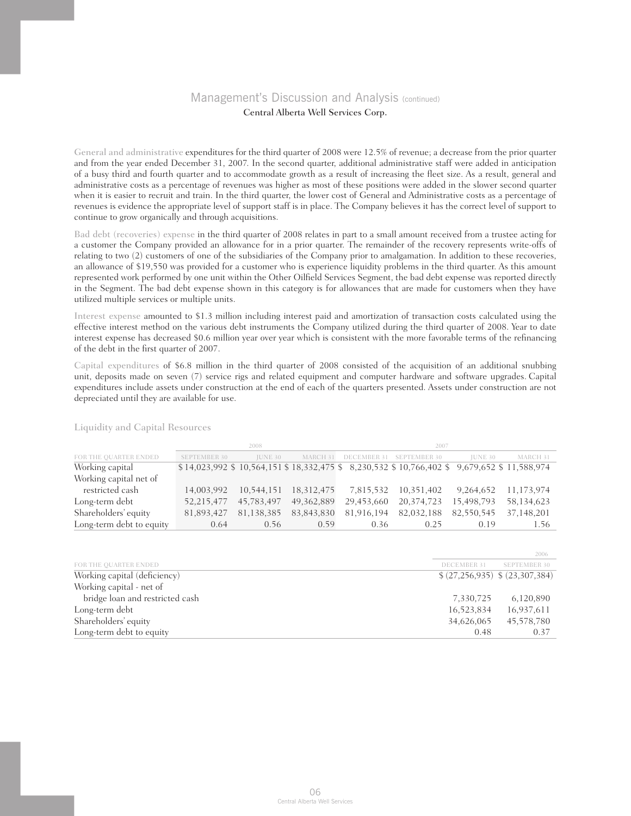General and administrative expenditures for the third quarter of 2008 were 12.5% of revenue; a decrease from the prior quarter and from the year ended December 31, 2007. In the second quarter, additional administrative staff were added in anticipation of a busy third and fourth quarter and to accommodate growth as a result of increasing the fleet size. As a result, general and administrative costs as a percentage of revenues was higher as most of these positions were added in the slower second quarter when it is easier to recruit and train. In the third quarter, the lower cost of General and Administrative costs as a percentage of revenues is evidence the appropriate level of support staff is in place. The Company believes it has the correct level of support to continue to grow organically and through acquisitions.

Bad debt (recoveries) expense in the third quarter of 2008 relates in part to a small amount received from a trustee acting for a customer the Company provided an allowance for in a prior quarter. The remainder of the recovery represents write-offs of relating to two (2) customers of one of the subsidiaries of the Company prior to amalgamation. In addition to these recoveries, an allowance of \$19,550 was provided for a customer who is experience liquidity problems in the third quarter. As this amount represented work performed by one unit within the Other Oilfield Services Segment, the bad debt expense was reported directly in the Segment. The bad debt expense shown in this category is for allowances that are made for customers when they have utilized multiple services or multiple units.

Interest expense amounted to \$1.3 million including interest paid and amortization of transaction costs calculated using the effective interest method on the various debt instruments the Company utilized during the third quarter of 2008. Year to date interest expense has decreased \$0.6 million year over year which is consistent with the more favorable terms of the refinancing of the debt in the first quarter of 2007.

Capital expenditures of \$6.8 million in the third quarter of 2008 consisted of the acquisition of an additional snubbing unit, deposits made on seven (7) service rigs and related equipment and computer hardware and software upgrades. Capital expenditures include assets under construction at the end of each of the quarters presented. Assets under construction are not depreciated until they are available for use.

|                          |                     | 2008           |              |            | 2007                                                                                     |                |            |
|--------------------------|---------------------|----------------|--------------|------------|------------------------------------------------------------------------------------------|----------------|------------|
| FOR THE QUARTER ENDED    | <b>SEPTEMBER 30</b> | <b>IUNE 30</b> | MARCH 31     |            | DECEMBER 31 SEPTEMBER 30                                                                 | <b>IUNE 30</b> | MARCH 31   |
| Working capital          |                     |                |              |            | \$14,023,992 \$10,564,151 \$18,332,475 \$8,230,532 \$10,766,402 \$9,679,652 \$11,588,974 |                |            |
| Working capital net of   |                     |                |              |            |                                                                                          |                |            |
| restricted cash          | 14.003.992          | 10.544.151     | 18.312.475   | 7.815.532  | 10.351.402                                                                               | 9,264,652      | 11,173,974 |
| Long-term debt           | 52,215,477          | 45,783,497     | 49, 362, 889 | 29,453,660 | 20,374,723                                                                               | 15,498,793     | 58,134,623 |
| Shareholders' equity     | 81,893,427          | 81,138,385     | 83,843,830   | 81,916,194 | 82,032,188                                                                               | 82,550,545     | 37,148,201 |
| Long-term debt to equity | 0.64                | 0.56           | 0.59         | 0.36       | 0.25                                                                                     | 0.19           | 1.56       |

Liquidity and Capital Resources

|                                 |             | 2006                             |
|---------------------------------|-------------|----------------------------------|
| FOR THE QUARTER ENDED           | DECEMBER 31 | <b>SEPTEMBER 30</b>              |
| Working capital (deficiency)    |             | $(27,256,935)$ \$ $(23,307,384)$ |
| Working capital - net of        |             |                                  |
| bridge loan and restricted cash | 7,330,725   | 6,120,890                        |
| Long-term debt                  | 16,523,834  | 16,937,611                       |
| Shareholders' equity            | 34,626,065  | 45,578,780                       |
| Long-term debt to equity        | 0.48        | 0.37                             |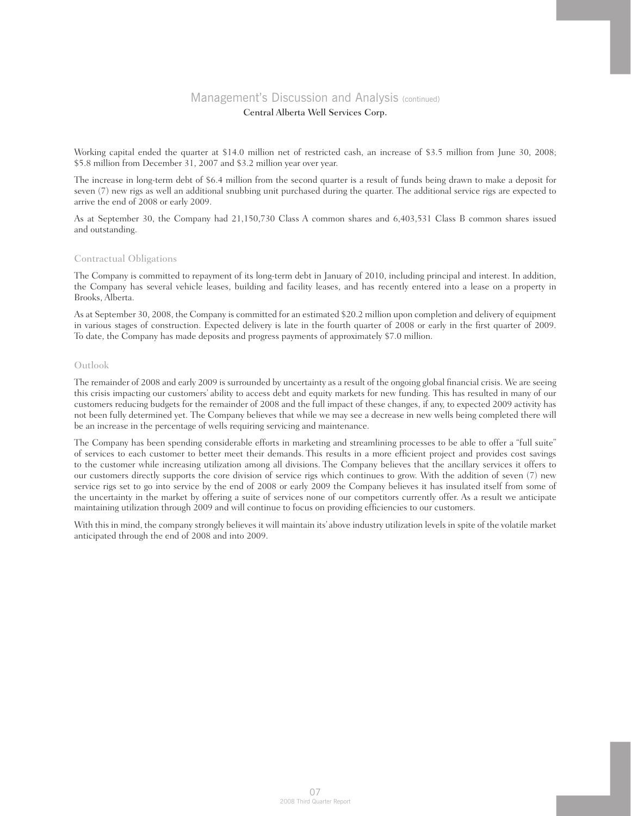Working capital ended the quarter at \$14.0 million net of restricted cash, an increase of \$3.5 million from June 30, 2008; \$5.8 million from December 31, 2007 and \$3.2 million year over year.

The increase in long-term debt of \$6.4 million from the second quarter is a result of funds being drawn to make a deposit for seven (7) new rigs as well an additional snubbing unit purchased during the quarter. The additional service rigs are expected to arrive the end of 2008 or early 2009.

As at September 30, the Company had 21,150,730 Class A common shares and 6,403,531 Class B common shares issued and outstanding.

### Contractual Obligations

The Company is committed to repayment of its long-term debt in January of 2010, including principal and interest. In addition, the Company has several vehicle leases, building and facility leases, and has recently entered into a lease on a property in Brooks, Alberta.

As at September 30, 2008, the Company is committed for an estimated \$20.2 million upon completion and delivery of equipment in various stages of construction. Expected delivery is late in the fourth quarter of 2008 or early in the first quarter of 2009. To date, the Company has made deposits and progress payments of approximately \$7.0 million.

### Outlook

The remainder of 2008 and early 2009 is surrounded by uncertainty as a result of the ongoing global financial crisis. We are seeing this crisis impacting our customers' ability to access debt and equity markets for new funding. This has resulted in many of our customers reducing budgets for the remainder of 2008 and the full impact of these changes, if any, to expected 2009 activity has not been fully determined yet. The Company believes that while we may see a decrease in new wells being completed there will be an increase in the percentage of wells requiring servicing and maintenance.

The Company has been spending considerable efforts in marketing and streamlining processes to be able to offer a "full suite" of services to each customer to better meet their demands. This results in a more efficient project and provides cost savings to the customer while increasing utilization among all divisions. The Company believes that the ancillary services it offers to our customers directly supports the core division of service rigs which continues to grow. With the addition of seven (7) new service rigs set to go into service by the end of 2008 or early 2009 the Company believes it has insulated itself from some of the uncertainty in the market by offering a suite of services none of our competitors currently offer. As a result we anticipate maintaining utilization through 2009 and will continue to focus on providing efficiencies to our customers.

With this in mind, the company strongly believes it will maintain its' above industry utilization levels in spite of the volatile market anticipated through the end of 2008 and into 2009.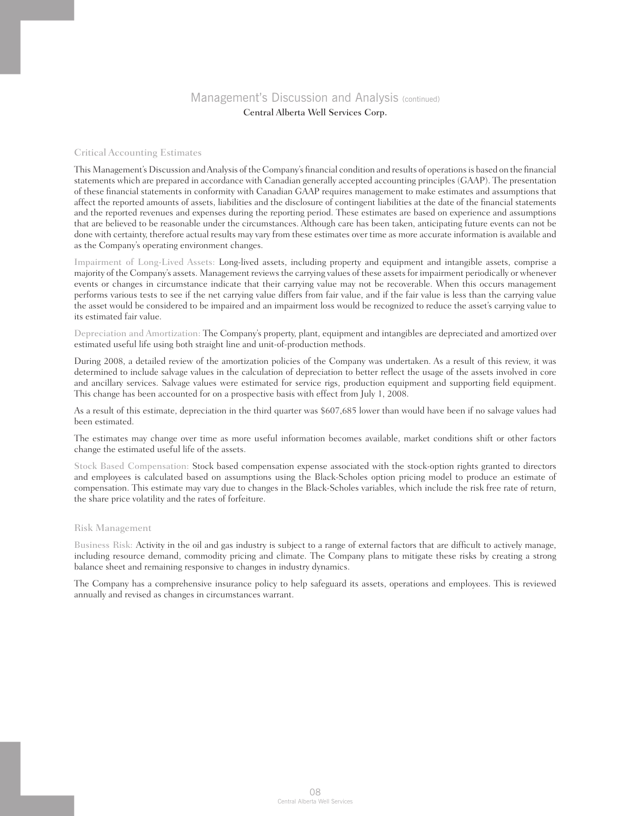### Critical Accounting Estimates

This Management's Discussion and Analysis of the Company's financial condition and results of operations is based on the financial statements which are prepared in accordance with Canadian generally accepted accounting principles (GAAP). The presentation of these financial statements in conformity with Canadian GAAP requires management to make estimates and assumptions that affect the reported amounts of assets, liabilities and the disclosure of contingent liabilities at the date of the financial statements and the reported revenues and expenses during the reporting period. These estimates are based on experience and assumptions that are believed to be reasonable under the circumstances. Although care has been taken, anticipating future events can not be done with certainty, therefore actual results may vary from these estimates over time as more accurate information is available and as the Company's operating environment changes.

Impairment of Long-Lived Assets: Long-lived assets, including property and equipment and intangible assets, comprise a majority of the Company's assets. Management reviews the carrying values of these assets for impairment periodically or whenever events or changes in circumstance indicate that their carrying value may not be recoverable. When this occurs management performs various tests to see if the net carrying value differs from fair value, and if the fair value is less than the carrying value the asset would be considered to be impaired and an impairment loss would be recognized to reduce the asset's carrying value to its estimated fair value.

Depreciation and Amortization: The Company's property, plant, equipment and intangibles are depreciated and amortized over estimated useful life using both straight line and unit-of-production methods.

During 2008, a detailed review of the amortization policies of the Company was undertaken. As a result of this review, it was determined to include salvage values in the calculation of depreciation to better reflect the usage of the assets involved in core and ancillary services. Salvage values were estimated for service rigs, production equipment and supporting field equipment. This change has been accounted for on a prospective basis with effect from July 1, 2008.

As a result of this estimate, depreciation in the third quarter was \$607,685 lower than would have been if no salvage values had been estimated.

The estimates may change over time as more useful information becomes available, market conditions shift or other factors change the estimated useful life of the assets.

Stock Based Compensation: Stock based compensation expense associated with the stock-option rights granted to directors and employees is calculated based on assumptions using the Black-Scholes option pricing model to produce an estimate of compensation. This estimate may vary due to changes in the Black-Scholes variables, which include the risk free rate of return, the share price volatility and the rates of forfeiture.

### Risk Management

Business Risk: Activity in the oil and gas industry is subject to a range of external factors that are difficult to actively manage, including resource demand, commodity pricing and climate. The Company plans to mitigate these risks by creating a strong balance sheet and remaining responsive to changes in industry dynamics.

The Company has a comprehensive insurance policy to help safeguard its assets, operations and employees. This is reviewed annually and revised as changes in circumstances warrant.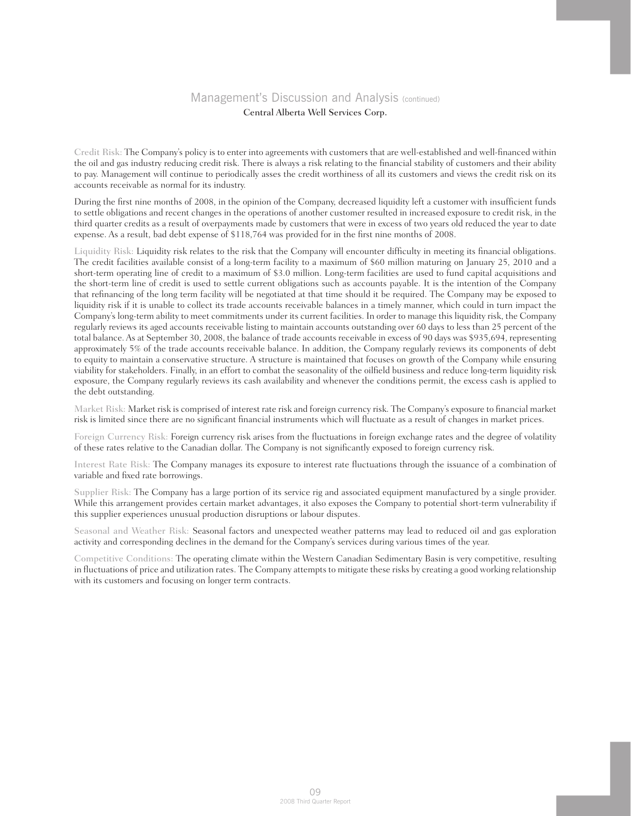Credit Risk: The Company's policy is to enter into agreements with customers that are well-established and well-financed within the oil and gas industry reducing credit risk. There is always a risk relating to the financial stability of customers and their ability to pay. Management will continue to periodically asses the credit worthiness of all its customers and views the credit risk on its accounts receivable as normal for its industry.

During the first nine months of 2008, in the opinion of the Company, decreased liquidity left a customer with insufficient funds to settle obligations and recent changes in the operations of another customer resulted in increased exposure to credit risk, in the third quarter credits as a result of overpayments made by customers that were in excess of two years old reduced the year to date expense. As a result, bad debt expense of \$118,764 was provided for in the first nine months of 2008.

Liquidity Risk: Liquidity risk relates to the risk that the Company will encounter difficulty in meeting its financial obligations. The credit facilities available consist of a long-term facility to a maximum of \$60 million maturing on January 25, 2010 and a short-term operating line of credit to a maximum of \$3.0 million. Long-term facilities are used to fund capital acquisitions and the short-term line of credit is used to settle current obligations such as accounts payable. It is the intention of the Company that refinancing of the long term facility will be negotiated at that time should it be required. The Company may be exposed to liquidity risk if it is unable to collect its trade accounts receivable balances in a timely manner, which could in turn impact the Company's long-term ability to meet commitments under its current facilities. In order to manage this liquidity risk, the Company regularly reviews its aged accounts receivable listing to maintain accounts outstanding over 60 days to less than 25 percent of the total balance. As at September 30, 2008, the balance of trade accounts receivable in excess of 90 days was \$935,694, representing approximately 5% of the trade accounts receivable balance. In addition, the Company regularly reviews its components of debt to equity to maintain a conservative structure. A structure is maintained that focuses on growth of the Company while ensuring viability for stakeholders. Finally, in an effort to combat the seasonality of the oilfield business and reduce long-term liquidity risk exposure, the Company regularly reviews its cash availability and whenever the conditions permit, the excess cash is applied to the debt outstanding.

Market Risk: Market risk is comprised of interest rate risk and foreign currency risk. The Company's exposure to financial market risk is limited since there are no significant financial instruments which will fluctuate as a result of changes in market prices.

Foreign Currency Risk: Foreign currency risk arises from the fluctuations in foreign exchange rates and the degree of volatility of these rates relative to the Canadian dollar. The Company is not significantly exposed to foreign currency risk.

Interest Rate Risk: The Company manages its exposure to interest rate fluctuations through the issuance of a combination of variable and fixed rate borrowings.

Supplier Risk: The Company has a large portion of its service rig and associated equipment manufactured by a single provider. While this arrangement provides certain market advantages, it also exposes the Company to potential short-term vulnerability if this supplier experiences unusual production disruptions or labour disputes.

Seasonal and Weather Risk: Seasonal factors and unexpected weather patterns may lead to reduced oil and gas exploration activity and corresponding declines in the demand for the Company's services during various times of the year.

Competitive Conditions: The operating climate within the Western Canadian Sedimentary Basin is very competitive, resulting in fluctuations of price and utilization rates. The Company attempts to mitigate these risks by creating a good working relationship with its customers and focusing on longer term contracts.